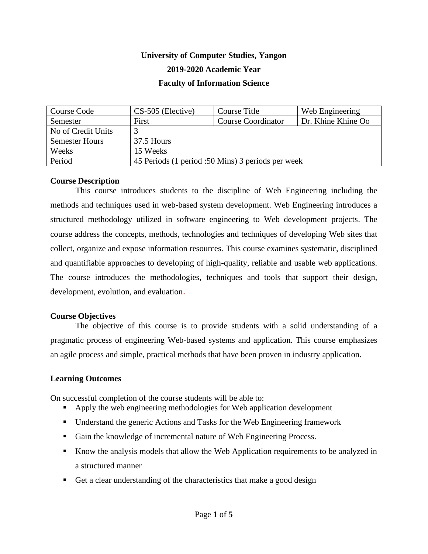# **University of Computer Studies, Yangon 2019-2020 Academic Year Faculty of Information Science**

| Course Code           | CS-505 (Elective)                                 | Course Title              | Web Engineering    |
|-----------------------|---------------------------------------------------|---------------------------|--------------------|
| Semester              | First                                             | <b>Course Coordinator</b> | Dr. Khine Khine Oo |
| No of Credit Units    |                                                   |                           |                    |
| <b>Semester Hours</b> | 37.5 Hours                                        |                           |                    |
| Weeks                 | 15 Weeks                                          |                           |                    |
| Period                | 45 Periods (1 period :50 Mins) 3 periods per week |                           |                    |

# **Course Description**

This course introduces students to the discipline of Web Engineering including the methods and techniques used in web-based system development. Web Engineering introduces a structured methodology utilized in software engineering to Web development projects. The course address the concepts, methods, technologies and techniques of developing Web sites that collect, organize and expose information resources. This course examines systematic, disciplined and quantifiable approaches to developing of high-quality, reliable and usable web applications. The course introduces the methodologies, techniques and tools that support their design, development, evolution, and evaluation.

#### **Course Objectives**

The objective of this course is to provide students with a solid understanding of a pragmatic process of engineering Web-based systems and application. This course emphasizes an agile process and simple, practical methods that have been proven in industry application.

#### **Learning Outcomes**

On successful completion of the course students will be able to:

- Apply the web engineering methodologies for Web application development
- Understand the generic Actions and Tasks for the Web Engineering framework
- Gain the knowledge of incremental nature of Web Engineering Process.
- Know the analysis models that allow the Web Application requirements to be analyzed in a structured manner
- Get a clear understanding of the characteristics that make a good design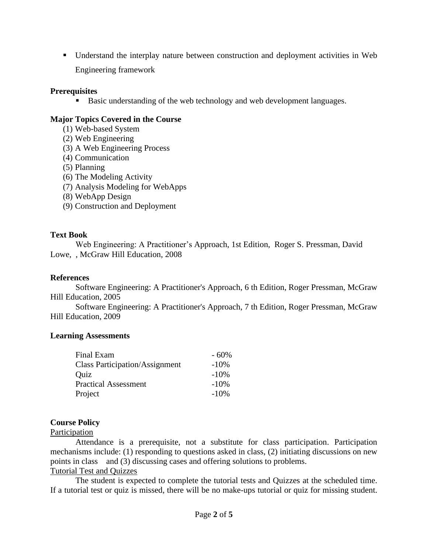▪ Understand the interplay nature between construction and deployment activities in Web Engineering framework

# **Prerequisites**

■ Basic understanding of the web technology and web development languages.

# **Major Topics Covered in the Course**

- (1) Web-based System
- (2) Web Engineering
- (3) A Web Engineering Process
- (4) Communication
- (5) Planning
- (6) The Modeling Activity
- (7) Analysis Modeling for WebApps
- (8) WebApp Design
- (9) Construction and Deployment

# **Text Book**

Web Engineering: A Practitioner's Approach, 1st Edition, Roger S. Pressman, David Lowe, , McGraw Hill Education, 2008

# **References**

Software Engineering: A Practitioner's Approach, 6 th Edition, Roger Pressman, McGraw Hill Education, 2005

Software Engineering: A Practitioner's Approach, 7 th Edition, Roger Pressman, McGraw Hill Education, 2009

# **Learning Assessments**

| Final Exam                            | $-60\%$ |
|---------------------------------------|---------|
| <b>Class Participation/Assignment</b> | $-10%$  |
| Quiz                                  | $-10%$  |
| <b>Practical Assessment</b>           | $-10\%$ |
| Project                               | $-10%$  |

# **Course Policy**

# Participation

Attendance is a prerequisite, not a substitute for class participation. Participation mechanisms include: (1) responding to questions asked in class, (2) initiating discussions on new points in class and (3) discussing cases and offering solutions to problems. Tutorial Test and Quizzes

The student is expected to complete the tutorial tests and Quizzes at the scheduled time. If a tutorial test or quiz is missed, there will be no make-ups tutorial or quiz for missing student.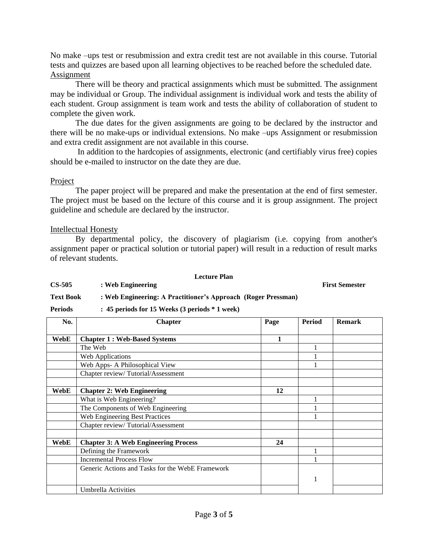No make –ups test or resubmission and extra credit test are not available in this course. Tutorial tests and quizzes are based upon all learning objectives to be reached before the scheduled date. Assignment

There will be theory and practical assignments which must be submitted. The assignment may be individual or Group. The individual assignment is individual work and tests the ability of each student. Group assignment is team work and tests the ability of collaboration of student to complete the given work.

The due dates for the given assignments are going to be declared by the instructor and there will be no make-ups or individual extensions. No make –ups Assignment or resubmission and extra credit assignment are not available in this course.

In addition to the hardcopies of assignments, electronic (and certifiably virus free) copies should be e-mailed to instructor on the date they are due.

# Project

The paper project will be prepared and make the presentation at the end of first semester. The project must be based on the lecture of this course and it is group assignment. The project guideline and schedule are declared by the instructor.

# Intellectual Honesty

By departmental policy, the discovery of plagiarism (i.e. copying from another's assignment paper or practical solution or tutorial paper) will result in a reduction of result marks of relevant students.

#### **Lecture Plan**

**CS-505 : Web Engineering First Semester First Semester** 

#### **Text Book : Web Engineering: A Practitioner's Approach (Roger Pressman)**

**Periods : 45 periods for 15 Weeks (3 periods \* 1 week)**

| No.  | <b>Chapter</b>                                   | Page | <b>Period</b> | <b>Remark</b> |
|------|--------------------------------------------------|------|---------------|---------------|
|      |                                                  |      |               |               |
| WebE | <b>Chapter 1: Web-Based Systems</b>              | 1    |               |               |
|      | The Web                                          |      |               |               |
|      | Web Applications                                 |      |               |               |
|      | Web Apps- A Philosophical View                   |      |               |               |
|      | Chapter review/Tutorial/Assessment               |      |               |               |
|      |                                                  |      |               |               |
| WebE | <b>Chapter 2: Web Engineering</b>                | 12   |               |               |
|      | What is Web Engineering?                         |      |               |               |
|      | The Components of Web Engineering                |      |               |               |
|      | Web Engineering Best Practices                   |      |               |               |
|      | Chapter review/Tutorial/Assessment               |      |               |               |
|      |                                                  |      |               |               |
| WebE | <b>Chapter 3: A Web Engineering Process</b>      | 24   |               |               |
|      | Defining the Framework                           |      |               |               |
|      | <b>Incremental Process Flow</b>                  |      |               |               |
|      | Generic Actions and Tasks for the WebE Framework |      |               |               |
|      |                                                  |      | 1             |               |
|      | Umbrella Activities                              |      |               |               |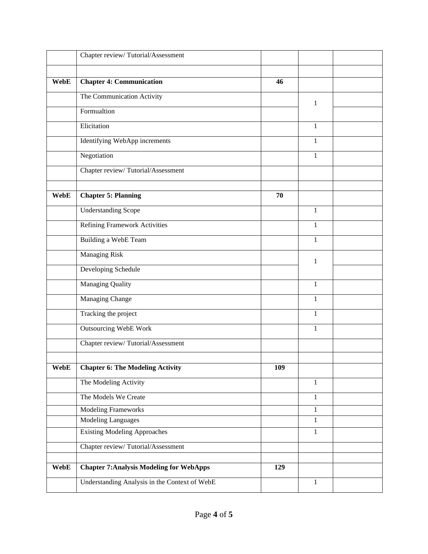|             | Chapter review/Tutorial/Assessment              |     |              |  |
|-------------|-------------------------------------------------|-----|--------------|--|
|             |                                                 |     |              |  |
| <b>WebE</b> | <b>Chapter 4: Communication</b>                 | 46  |              |  |
|             | The Communication Activity                      |     | $\mathbf{1}$ |  |
|             | Formualtion                                     |     |              |  |
|             | Elicitation                                     |     | $\mathbf{1}$ |  |
|             | Identifying WebApp increments                   |     | $\mathbf{1}$ |  |
|             | Negotiation                                     |     | 1            |  |
|             | Chapter review/Tutorial/Assessment              |     |              |  |
|             |                                                 |     |              |  |
| WebE        | <b>Chapter 5: Planning</b>                      | 70  |              |  |
|             | <b>Understanding Scope</b>                      |     | $\mathbf{1}$ |  |
|             | <b>Refining Framework Activities</b>            |     | $\mathbf{1}$ |  |
|             | Building a WebE Team                            |     | $\mathbf{1}$ |  |
|             | <b>Managing Risk</b>                            |     | $\mathbf{1}$ |  |
|             | Developing Schedule                             |     |              |  |
|             | <b>Managing Quality</b>                         |     | $\mathbf{1}$ |  |
|             | Managing Change                                 |     | $\mathbf{1}$ |  |
|             | Tracking the project                            |     | $\mathbf{1}$ |  |
|             | <b>Outsourcing WebE Work</b>                    |     | 1            |  |
|             | Chapter review/Tutorial/Assessment              |     |              |  |
|             |                                                 |     |              |  |
| <b>WebE</b> | <b>Chapter 6: The Modeling Activity</b>         | 109 |              |  |
|             | The Modeling Activity                           |     | $\mathbf{1}$ |  |
|             | The Models We Create                            |     | $\mathbf{1}$ |  |
|             | <b>Modeling Frameworks</b>                      |     | $\mathbf{1}$ |  |
|             | <b>Modeling Languages</b>                       |     | $\mathbf{1}$ |  |
|             | <b>Existing Modeling Approaches</b>             |     | $\mathbf{1}$ |  |
|             | Chapter review/Tutorial/Assessment              |     |              |  |
|             |                                                 |     |              |  |
| <b>WebE</b> | <b>Chapter 7: Analysis Modeling for WebApps</b> | 129 |              |  |
|             | Understanding Analysis in the Context of WebE   |     | $\mathbf{1}$ |  |